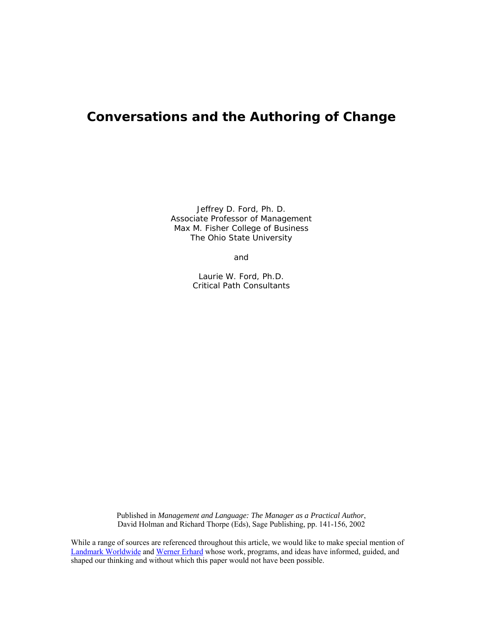# *Conversations and the Authoring of Change*

Jeffrey D. Ford, Ph. D. Associate Professor of Management Max M. Fisher College of Business The Ohio State University

and

Laurie W. Ford, Ph.D. Critical Path Consultants

Published in *Management and Language: The Manager as a Practical Author*, David Holman and Richard Thorpe (Eds), Sage Publishing, pp. 141-156, 2002

While a range of sources are referenced throughout this article, we would like to make special mention of Landmark Worldwide and Werner Erhard whose work, programs, and ideas have informed, guided, and shaped our thinking and without which this paper would not have been possible.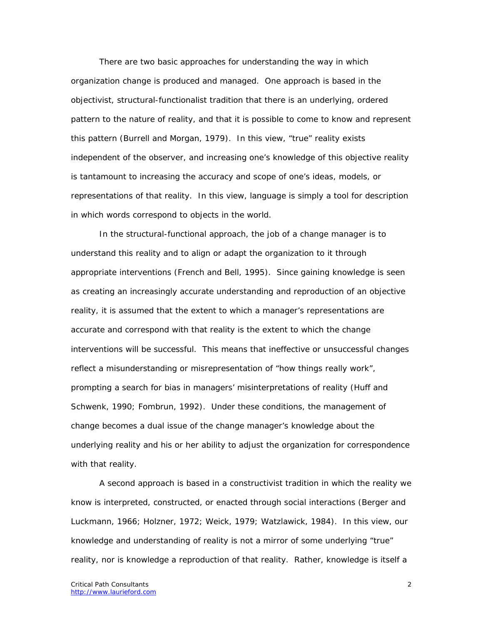There are two basic approaches for understanding the way in which organization change is produced and managed. One approach is based in the objectivist, structural-functionalist tradition that there is an underlying, ordered pattern to the nature of reality, and that it is possible to come to know and represent this pattern (Burrell and Morgan, 1979). In this view, "true" reality exists independent of the observer, and increasing one's knowledge of this objective reality is tantamount to increasing the accuracy and scope of one's ideas, models, or representations of that reality. In this view, language is simply a tool for description in which words correspond to objects in the world.

 In the structural-functional approach, the job of a change manager is to understand this reality and to align or adapt the organization to it through appropriate interventions (French and Bell, 1995). Since gaining knowledge is seen as creating an increasingly accurate understanding and reproduction of an objective reality, it is assumed that the extent to which a manager's representations are accurate and correspond with that reality is the extent to which the change interventions will be successful. This means that ineffective or unsuccessful changes reflect a misunderstanding or misrepresentation of "how things really work", prompting a search for bias in managers' misinterpretations of reality (Huff and Schwenk, 1990; Fombrun, 1992). Under these conditions, the management of change becomes a dual issue of the change manager's knowledge about the underlying reality and his or her ability to adjust the organization for correspondence with that reality.

 A second approach is based in a constructivist tradition in which the reality we know is interpreted, constructed, or enacted through social interactions (Berger and Luckmann, 1966; Holzner, 1972; Weick, 1979; Watzlawick, 1984). In this view, our knowledge and understanding of reality is not a mirror of some underlying "true" reality, nor is knowledge a reproduction of that reality. Rather, knowledge is itself a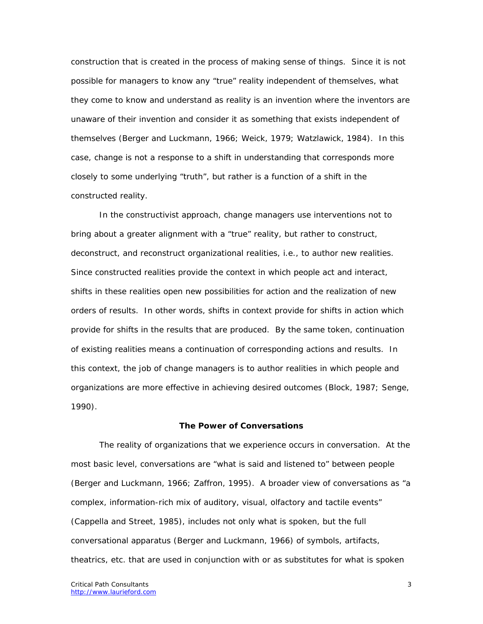construction that is created in the process of making sense of things. Since it is not possible for managers to know any "true" reality independent of themselves, what they come to know and understand as reality is an invention where the inventors are unaware of their invention and consider it as something that exists independent of themselves (Berger and Luckmann, 1966; Weick, 1979; Watzlawick, 1984). In this case, change is not a response to a shift in understanding that corresponds more closely to some underlying "truth", but rather is a function of a shift in the constructed reality.

 In the constructivist approach, change managers use interventions not to bring about a greater alignment with a "true" reality, but rather to construct, deconstruct, and reconstruct organizational realities, i.e., to author new realities. Since constructed realities provide the context in which people act and interact, shifts in these realities open new possibilities for action and the realization of new orders of results. In other words, shifts in context provide for shifts in action which provide for shifts in the results that are produced. By the same token, continuation of existing realities means a continuation of corresponding actions and results. In this context, the job of change managers is to author realities in which people and organizations are more effective in achieving desired outcomes (Block, 1987; Senge, 1990).

# **The Power of Conversations**

 The reality of organizations that we experience occurs in conversation. At the most basic level, conversations are "what is said and listened to" between people (Berger and Luckmann, 1966; Zaffron, 1995). A broader view of conversations as "a complex, information-rich mix of auditory, visual, olfactory and tactile events" (Cappella and Street, 1985), includes not only what is spoken, but the full conversational apparatus (Berger and Luckmann, 1966) of symbols, artifacts, theatrics, etc. that are used in conjunction with or as substitutes for what is spoken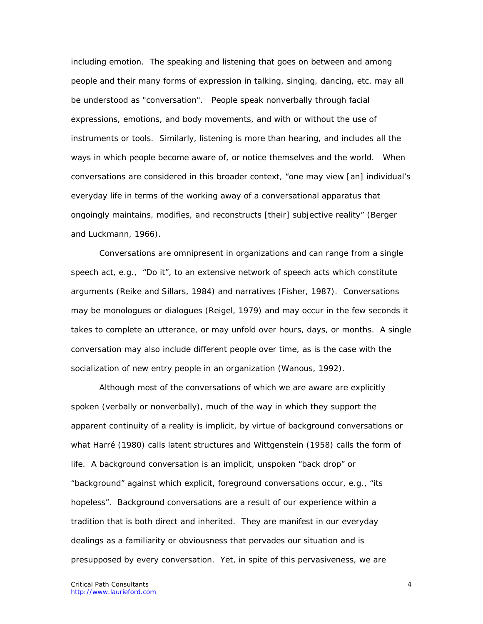including emotion. The speaking and listening that goes on between and among people and their many forms of expression in talking, singing, dancing, etc. may all be understood as "conversation". People speak nonverbally through facial expressions, emotions, and body movements, and with or without the use of instruments or tools. Similarly, listening is more than hearing, and includes all the ways in which people become aware of, or notice themselves and the world. When conversations are considered in this broader context, "one may view [an] individual's everyday life in terms of the working away of a conversational apparatus that ongoingly maintains, modifies, and reconstructs [their] subjective reality" (Berger and Luckmann, 1966).

 Conversations are omnipresent in organizations and can range from a single speech act, e.g., "Do it", to an extensive network of speech acts which constitute arguments (Reike and Sillars, 1984) and narratives (Fisher, 1987). Conversations may be monologues or dialogues (Reigel, 1979) and may occur in the few seconds it takes to complete an utterance, or may unfold over hours, days, or months. A single conversation may also include different people over time, as is the case with the socialization of new entry people in an organization (Wanous, 1992).

Although most of the conversations of which we are aware are explicitly spoken (verbally or nonverbally), much of the way in which they support the apparent continuity of a reality is implicit, by virtue of background conversations or what Harré (1980) calls latent structures and Wittgenstein (1958) calls the form of life. A background conversation is an implicit, unspoken "back drop" or "background" against which explicit, foreground conversations occur, e.g., "its hopeless". Background conversations are a result of our experience within a tradition that is both direct and inherited. They are manifest in our everyday dealings as a familiarity or obviousness that pervades our situation and is presupposed by every conversation. Yet, in spite of this pervasiveness, we are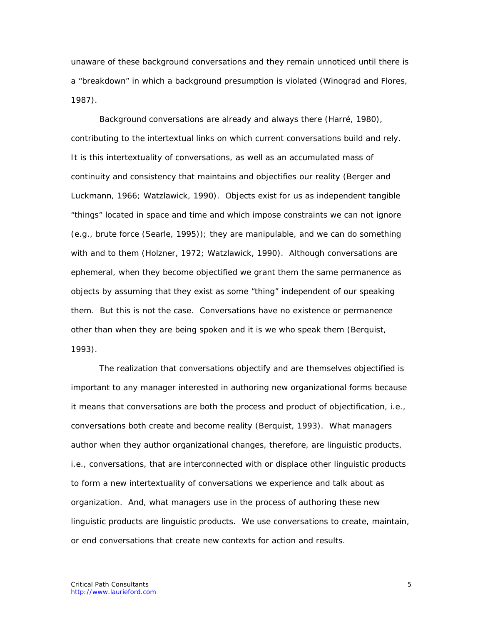unaware of these background conversations and they remain unnoticed until there is a "breakdown" in which a background presumption is violated (Winograd and Flores, 1987).

 Background conversations are already and always there (Harré, 1980), contributing to the intertextual links on which current conversations build and rely. It is this intertextuality of conversations, as well as an accumulated mass of continuity and consistency that maintains and objectifies our reality (Berger and Luckmann, 1966; Watzlawick, 1990). Objects exist for us as independent tangible "things" located in space and time and which impose constraints we can not ignore (e.g., brute force (Searle, 1995)); they are manipulable, and we can do something with and to them (Holzner, 1972; Watzlawick, 1990). Although conversations are ephemeral, when they become objectified we grant them the same permanence as objects by assuming that they exist as some "thing" independent of our speaking them. But this is not the case. Conversations have no existence or permanence other than when they are being spoken and it is we who speak them (Berquist, 1993).

The realization that conversations objectify and are themselves objectified is important to any manager interested in authoring new organizational forms because it means that conversations are both the process and product of objectification, i.e., conversations both create and become reality (Berquist, 1993). What managers author when they author organizational changes, therefore, are linguistic products, i.e., conversations, that are interconnected with or displace other linguistic products to form a new intertextuality of conversations we experience and talk about as organization. And, what managers use in the process of authoring these new linguistic products are linguistic products. We use conversations to create, maintain, or end conversations that create new contexts for action and results.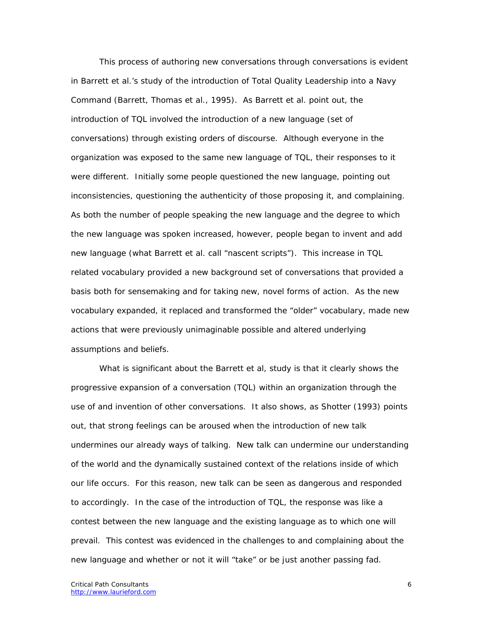This process of authoring new conversations through conversations is evident in Barrett et al.'s study of the introduction of Total Quality Leadership into a Navy Command (Barrett, Thomas et al., 1995). As Barrett et al. point out, the introduction of TQL involved the introduction of a new language (set of conversations) through existing orders of discourse. Although everyone in the organization was exposed to the same new language of TQL, their responses to it were different. Initially some people questioned the new language, pointing out inconsistencies, questioning the authenticity of those proposing it, and complaining. As both the number of people speaking the new language and the degree to which the new language was spoken increased, however, people began to invent and add new language (what Barrett et al. call "nascent scripts"). This increase in TQL related vocabulary provided a new background set of conversations that provided a basis both for sensemaking and for taking new, novel forms of action. As the new vocabulary expanded, it replaced and transformed the "older" vocabulary, made new actions that were previously unimaginable possible and altered underlying assumptions and beliefs.

What is significant about the Barrett et al, study is that it clearly shows the progressive expansion of a conversation (TQL) within an organization through the use of and invention of other conversations. It also shows, as Shotter (1993) points out, that strong feelings can be aroused when the introduction of new talk undermines our already ways of talking. New talk can undermine our understanding of the world and the dynamically sustained context of the relations inside of which our life occurs. For this reason, new talk can be seen as dangerous and responded to accordingly. In the case of the introduction of TQL, the response was like a contest between the new language and the existing language as to which one will prevail. This contest was evidenced in the challenges to and complaining about the new language and whether or not it will "take" or be just another passing fad.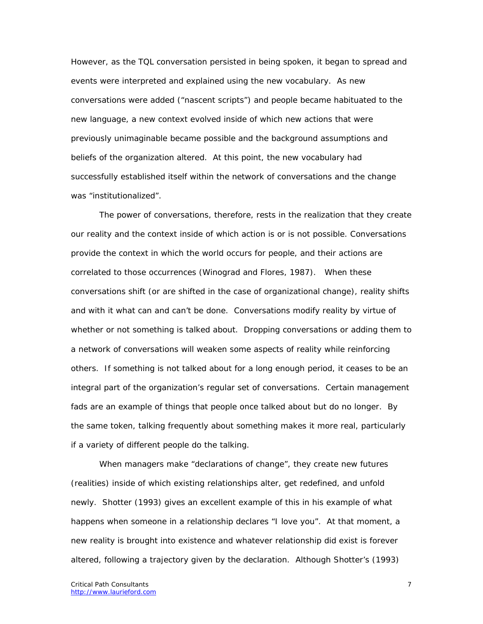However, as the TQL conversation persisted in being spoken, it began to spread and events were interpreted and explained using the new vocabulary. As new conversations were added ("nascent scripts") and people became habituated to the new language, a new context evolved inside of which new actions that were previously unimaginable became possible and the background assumptions and beliefs of the organization altered. At this point, the new vocabulary had successfully established itself within the network of conversations and the change was "institutionalized".

 The power of conversations, therefore, rests in the realization that they create our reality and the context inside of which action is or is not possible. Conversations provide the context in which the world occurs for people, and their actions are correlated to those occurrences (Winograd and Flores, 1987). When these conversations shift (or are shifted in the case of organizational change), reality shifts and with it what can and can't be done. Conversations modify reality by virtue of whether or not something is talked about. Dropping conversations or adding them to a network of conversations will weaken some aspects of reality while reinforcing others. If something is not talked about for a long enough period, it ceases to be an integral part of the organization's regular set of conversations. Certain management fads are an example of things that people once talked about but do no longer. By the same token, talking frequently about something makes it more real, particularly if a variety of different people do the talking.

 When managers make "declarations of change", they create new futures (realities) inside of which existing relationships alter, get redefined, and unfold newly. Shotter (1993) gives an excellent example of this in his example of what happens when someone in a relationship declares "I love you". At that moment, a new reality is brought into existence and whatever relationship did exist is forever altered, following a trajectory given by the declaration. Although Shotter's (1993)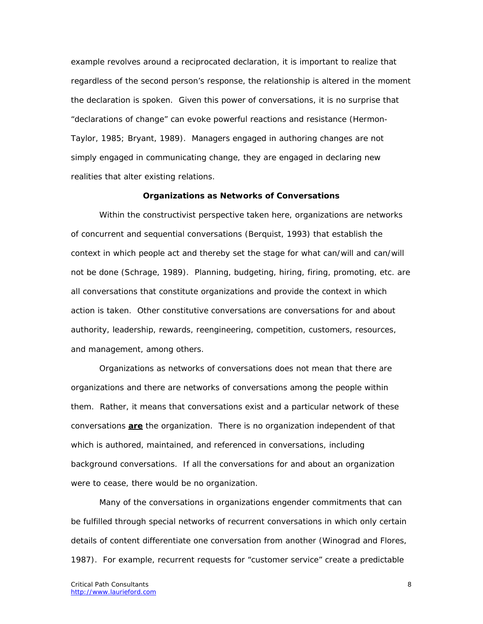example revolves around a reciprocated declaration, it is important to realize that regardless of the second person's response, the relationship is altered in the moment the declaration is spoken. Given this power of conversations, it is no surprise that "declarations of change" can evoke powerful reactions and resistance (Hermon-Taylor, 1985; Bryant, 1989). Managers engaged in authoring changes are not simply engaged in communicating change, they are engaged in declaring new realities that alter existing relations.

#### **Organizations as Networks of Conversations**

 Within the constructivist perspective taken here, organizations are networks of concurrent and sequential conversations (Berquist, 1993) that establish the context in which people act and thereby set the stage for what can/will and can/will not be done (Schrage, 1989). Planning, budgeting, hiring, firing, promoting, etc. are all conversations that constitute organizations and provide the context in which action is taken. Other constitutive conversations are conversations for and about authority, leadership, rewards, reengineering, competition, customers, resources, and management, among others.

 Organizations as networks of conversations does not mean that there are organizations and there are networks of conversations among the people within them. Rather, it means that conversations exist and a particular network of these conversations **are** the organization. There is no organization independent of that which is authored, maintained, and referenced in conversations, including background conversations. If all the conversations for and about an organization were to cease, there would be no organization.

 Many of the conversations in organizations engender commitments that can be fulfilled through special networks of recurrent conversations in which only certain details of content differentiate one conversation from another (Winograd and Flores, 1987). For example, recurrent requests for "customer service" create a predictable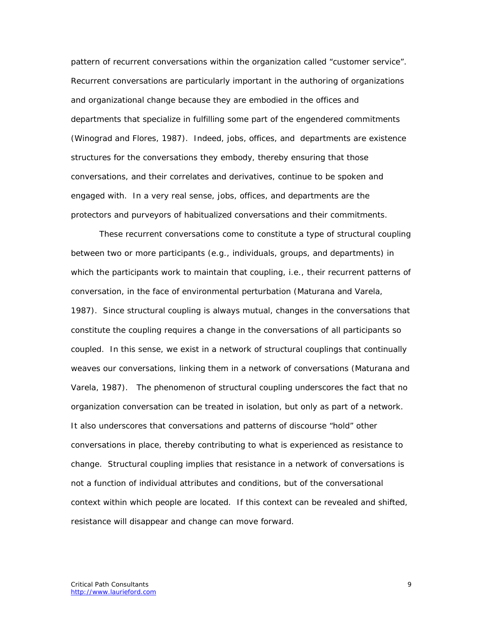pattern of recurrent conversations within the organization called "customer service". Recurrent conversations are particularly important in the authoring of organizations and organizational change because they are embodied in the offices and departments that specialize in fulfilling some part of the engendered commitments (Winograd and Flores, 1987). Indeed, jobs, offices, and departments are existence structures for the conversations they embody, thereby ensuring that those conversations, and their correlates and derivatives, continue to be spoken and engaged with. In a very real sense, jobs, offices, and departments are the protectors and purveyors of habitualized conversations and their commitments.

 These recurrent conversations come to constitute a type of structural coupling between two or more participants (e.g., individuals, groups, and departments) in which the participants work to maintain that coupling, i.e., their recurrent patterns of conversation, in the face of environmental perturbation (Maturana and Varela, 1987). Since structural coupling is always mutual, changes in the conversations that constitute the coupling requires a change in the conversations of all participants so coupled. In this sense, we exist in a network of structural couplings that continually weaves our conversations, linking them in a network of conversations (Maturana and Varela, 1987). The phenomenon of structural coupling underscores the fact that no organization conversation can be treated in isolation, but only as part of a network. It also underscores that conversations and patterns of discourse "hold" other conversations in place, thereby contributing to what is experienced as resistance to change. Structural coupling implies that resistance in a network of conversations is not a function of individual attributes and conditions, but of the conversational context within which people are located. If this context can be revealed and shifted, resistance will disappear and change can move forward.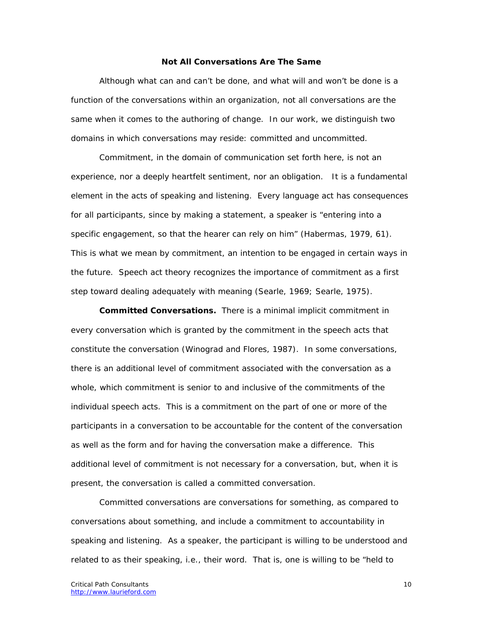# **Not All Conversations Are The Same**

 Although what can and can't be done, and what will and won't be done is a function of the conversations within an organization, not all conversations are the same when it comes to the authoring of change. In our work, we distinguish two domains in which conversations may reside: committed and uncommitted.

Commitment, in the domain of communication set forth here, is not an experience, nor a deeply heartfelt sentiment, nor an obligation. It is a fundamental element in the acts of speaking and listening. Every language act has consequences for all participants, since by making a statement, a speaker is "entering into a specific engagement, so that the hearer can rely on him" (Habermas, 1979, 61). This is what we mean by commitment, an intention to be engaged in certain ways in the future. Speech act theory recognizes the importance of commitment as a first step toward dealing adequately with meaning (Searle, 1969; Searle, 1975).

**Committed Conversations.** There is a minimal implicit commitment in every conversation which is granted by the commitment in the speech acts that constitute the conversation (Winograd and Flores, 1987). In some conversations, there is an additional level of commitment associated with the conversation as a whole, which commitment is senior to and inclusive of the commitments of the individual speech acts. This is a commitment on the part of one or more of the participants in a conversation to be accountable for the content of the conversation as well as the form and for having the conversation make a difference. This additional level of commitment is not necessary for a conversation, but, when it is present, the conversation is called a *committed conversation*.

 Committed conversations are conversations *for* something, as compared to conversations *about* something, and include a commitment to accountability in speaking and listening. As a speaker, the participant is willing to be understood and related to as their speaking, i.e., their word. That is, one is willing to be "held to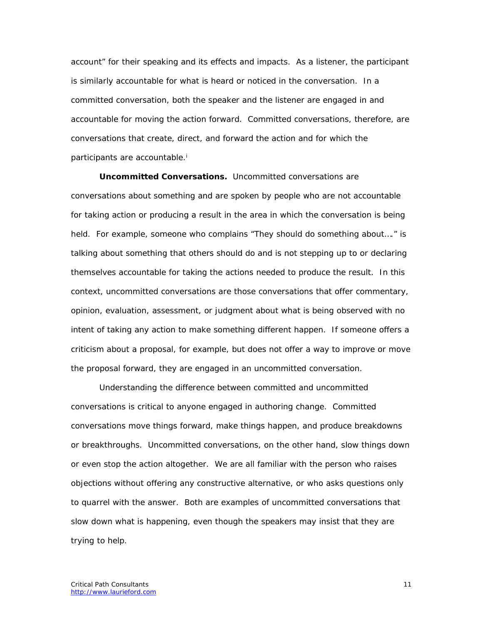account" for their speaking and its effects and impacts. As a listener, the participant is similarly accountable for what is heard or noticed in the conversation. In a committed conversation, both the speaker and the listener are engaged in and accountable for moving the action forward. Committed conversations, therefore, are conversations that create, direct, and forward the action and for which the participants are accountable.<sup>i</sup>

**Uncommitted Conversations.** Uncommitted conversations are conversations *about* something and are spoken by people who are not accountable for taking action or producing a result in the area in which the conversation is being held. For example, someone who complains "They should do something about…." is talking about something that others should do and is not stepping up to or declaring themselves accountable for taking the actions needed to produce the result. In this context, uncommitted conversations are those conversations that offer commentary, opinion, evaluation, assessment, or judgment about what is being observed with no intent of taking any action to make something different happen. If someone offers a criticism about a proposal, for example, but does not offer a way to improve or move the proposal forward, they are engaged in an uncommitted conversation.

 Understanding the difference between committed and uncommitted conversations is critical to anyone engaged in authoring change. Committed conversations move things forward, make things happen, and produce breakdowns or breakthroughs. Uncommitted conversations, on the other hand, slow things down or even stop the action altogether. We are all familiar with the person who raises objections without offering any constructive alternative, or who asks questions only to quarrel with the answer. Both are examples of uncommitted conversations that slow down what is happening, even though the speakers may insist that they are trying to help.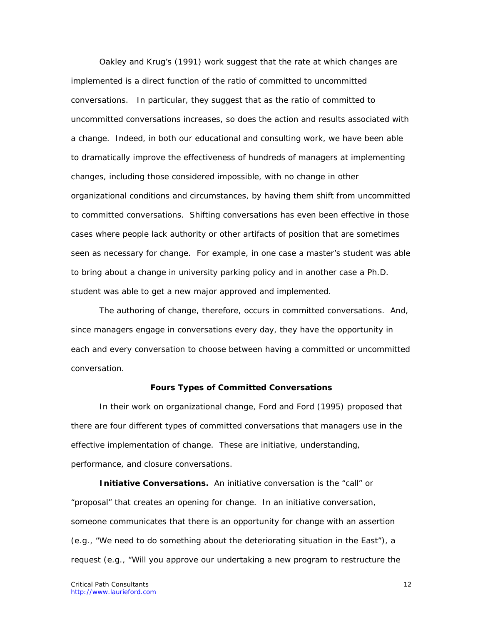Oakley and Krug's (1991) work suggest that the rate at which changes are implemented is a direct function of the ratio of committed to uncommitted conversations. In particular, they suggest that as the ratio of committed to uncommitted conversations increases, so does the action and results associated with a change. Indeed, in both our educational and consulting work, we have been able to dramatically improve the effectiveness of hundreds of managers at implementing changes, including those considered impossible, with no change in other organizational conditions and circumstances, by having them shift from uncommitted to committed conversations. Shifting conversations has even been effective in those cases where people lack authority or other artifacts of position that are sometimes seen as necessary for change. For example, in one case a master's student was able to bring about a change in university parking policy and in another case a Ph.D. student was able to get a new major approved and implemented.

The authoring of change, therefore, occurs in committed conversations. And, since managers engage in conversations every day, they have the opportunity in each and every conversation to choose between having a committed or uncommitted conversation.

#### **Fours Types of Committed Conversations**

 In their work on organizational change, Ford and Ford (1995) proposed that there are four different types of committed conversations that managers use in the effective implementation of change. These are initiative, understanding, performance, and closure conversations.

**Initiative Conversations.** An *initiative conversation* is the "call" or "proposal" that creates an opening for change. In an initiative conversation, someone communicates that there is an opportunity for change with an assertion (e.g., "We need to do something about the deteriorating situation in the East"), a request (e.g., "Will you approve our undertaking a new program to restructure the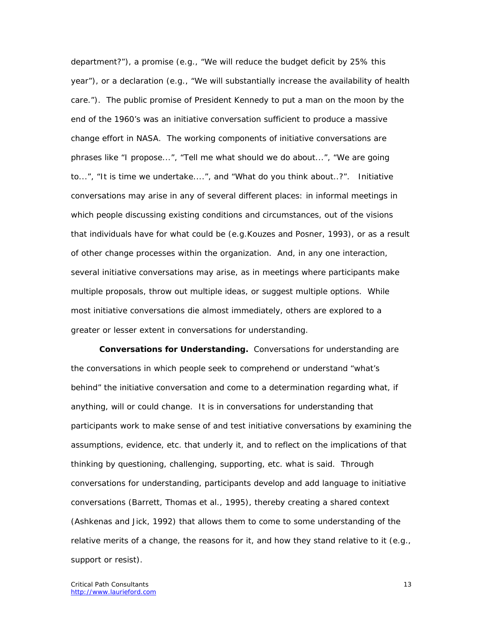department?"), a promise (e.g., "We will reduce the budget deficit by 25% this year"), or a declaration (e.g., "We will substantially increase the availability of health care."). The public promise of President Kennedy to put a man on the moon by the end of the 1960's was an initiative conversation sufficient to produce a massive change effort in NASA. The working components of initiative conversations are phrases like "I propose...", "Tell me what should we do about...", "We are going to...", "It is time we undertake....", and "What do you think about..?". Initiative conversations may arise in any of several different places: in informal meetings in which people discussing existing conditions and circumstances, out of the visions that individuals have for what could be (e.g.Kouzes and Posner, 1993), or as a result of other change processes within the organization. And, in any one interaction, several initiative conversations may arise, as in meetings where participants make multiple proposals, throw out multiple ideas, or suggest multiple options. While most initiative conversations die almost immediately, others are explored to a greater or lesser extent in conversations for understanding.

**Conversations for Understanding.** *Conversations for understanding* are the conversations in which people seek to comprehend or understand "what's behind" the initiative conversation and come to a determination regarding what, if anything, will or could change. It is in conversations for understanding that participants work to make sense of and test initiative conversations by examining the assumptions, evidence, etc. that underly it, and to reflect on the implications of that thinking by questioning, challenging, supporting, etc. what is said. Through conversations for understanding, participants develop and add language to initiative conversations (Barrett, Thomas et al., 1995), thereby creating a shared context (Ashkenas and Jick, 1992) that allows them to come to some understanding of the relative merits of a change, the reasons for it, and how they stand relative to it (e.g., support or resist).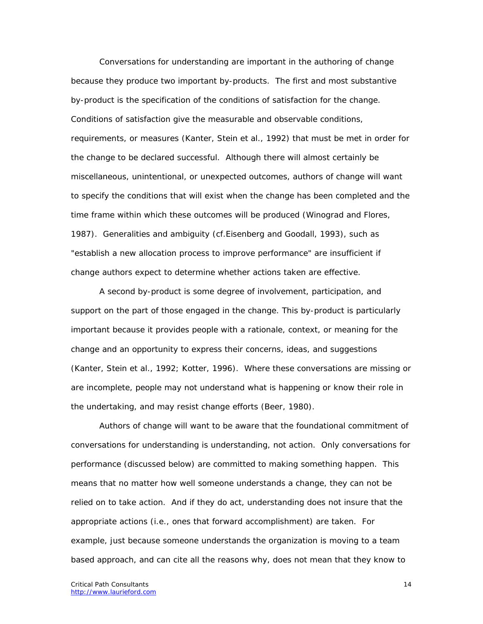Conversations for understanding are important in the authoring of change because they produce two important by-products. The first and most substantive by-product is the specification of the *conditions of satisfaction* for the change. Conditions of satisfaction give the measurable and observable conditions, requirements, or measures (Kanter, Stein et al., 1992) that must be met in order for the change to be declared successful. Although there will almost certainly be miscellaneous, unintentional, or unexpected outcomes, authors of change will want to specify the conditions that will exist when the change has been completed and the time frame within which these outcomes will be produced (Winograd and Flores, 1987). Generalities and ambiguity (cf.Eisenberg and Goodall, 1993), such as "establish a new allocation process to improve performance" are insufficient if change authors expect to determine whether actions taken are effective.

 A second by-product is some degree of *involvement, participation, and support* on the part of those engaged in the change. This by-product is particularly important because it provides people with a rationale, context, or meaning for the change and an opportunity to express their concerns, ideas, and suggestions (Kanter, Stein et al., 1992; Kotter, 1996). Where these conversations are missing or are incomplete, people may not understand what is happening or know their role in the undertaking, and may resist change efforts (Beer, 1980).

 Authors of change will want to be aware that the foundational commitment of conversations for understanding is understanding, not action. Only conversations for performance (discussed below) are committed to making something happen. This means that no matter how well someone understands a change, they can not be relied on to take action. And if they do act, understanding does not insure that the appropriate actions (i.e., ones that forward accomplishment) are taken. For example, just because someone understands the organization is moving to a team based approach, and can cite all the reasons why, does not mean that they know to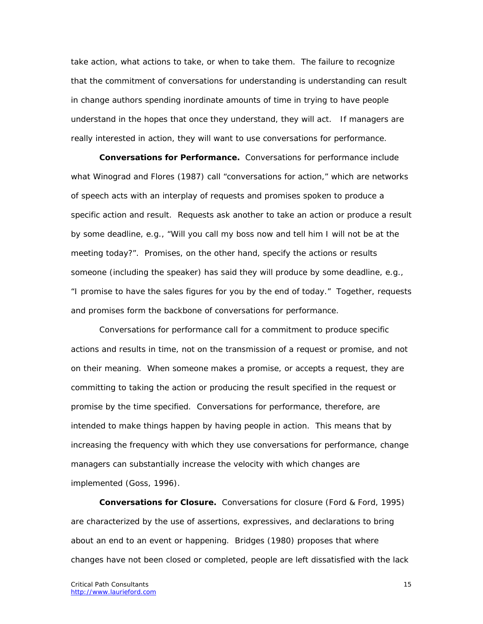take action, what actions to take, or when to take them. The failure to recognize that the commitment of conversations for understanding is understanding can result in change authors spending inordinate amounts of time in trying to have people understand in the hopes that once they understand, they will act. If managers are really interested in action, they will want to use conversations for performance.

**Conversations for Performance.** *Conversations for performance* include what Winograd and Flores (1987) call "conversations for action," which are networks of speech acts with an interplay of requests and promises spoken to produce a specific action and result. Requests ask another to take an action or produce a result by some deadline, e.g., "Will you call my boss now and tell him I will not be at the meeting today?". Promises, on the other hand, specify the actions or results someone (including the speaker) has said they will produce by some deadline, e.g., "I promise to have the sales figures for you by the end of today." Together, requests and promises form the backbone of conversations for performance.

 Conversations for performance call for a commitment to produce specific actions and results in time, not on the transmission of a request or promise, and not on their meaning. When someone makes a promise, or accepts a request, they are committing to taking the action or producing the result specified in the request or promise by the time specified. Conversations for performance, therefore, are intended to make things happen by having people in action. This means that by increasing the frequency with which they use conversations for performance, change managers can substantially increase the velocity with which changes are implemented (Goss, 1996).

**Conversations for Closure.** *Conversations for closure* (Ford & Ford, 1995) are characterized by the use of assertions, expressives, and declarations to bring about an end to an event or happening. Bridges (1980) proposes that where changes have not been closed or completed, people are left dissatisfied with the lack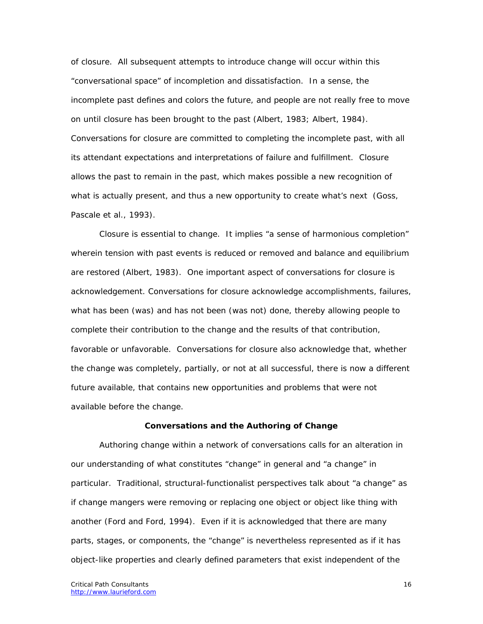of closure. All subsequent attempts to introduce change will occur within this "conversational space" of incompletion and dissatisfaction. In a sense, the incomplete past defines and colors the future, and people are not really free to move on until closure has been brought to the past (Albert, 1983; Albert, 1984). Conversations for closure are committed to completing the incomplete past, with all its attendant expectations and interpretations of failure and fulfillment. Closure allows the past to remain in the past, which makes possible a new recognition of what is actually present, and thus a new opportunity to create what's next (Goss, Pascale et al., 1993).

Closure is essential to change. It implies "a sense of harmonious completion" wherein tension with past events is reduced or removed and balance and equilibrium are restored (Albert, 1983). One important aspect of conversations for closure is acknowledgement. Conversations for closure acknowledge accomplishments, failures, what has been (was) and has not been (was not) done, thereby allowing people to complete their contribution to the change and the results of that contribution, favorable or unfavorable. Conversations for closure also acknowledge that, whether the change was completely, partially, or not at all successful, there is now a different future available, that contains new opportunities and problems that were not available before the change.

#### **Conversations and the Authoring of Change**

Authoring change within a network of conversations calls for an alteration in our understanding of what constitutes "change" in general and "a change" in particular. Traditional, structural-functionalist perspectives talk about "a change" as if change mangers were removing or replacing one object or object like thing with another (Ford and Ford, 1994). Even if it is acknowledged that there are many parts, stages, or components, the "change" is nevertheless represented as if it has object-like properties and clearly defined parameters that exist independent of the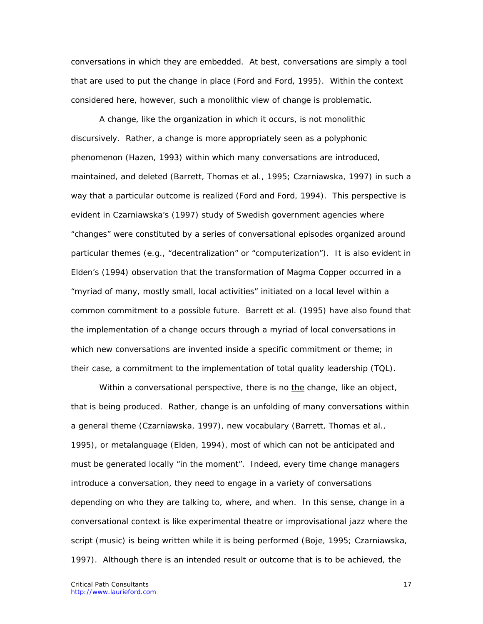conversations in which they are embedded. At best, conversations are simply a tool that are used to put the change in place (Ford and Ford, 1995). Within the context considered here, however, such a monolithic view of change is problematic.

A change, like the organization in which it occurs, is not monolithic discursively. Rather, a change is more appropriately seen as a polyphonic phenomenon (Hazen, 1993) within which many conversations are introduced, maintained, and deleted (Barrett, Thomas et al., 1995; Czarniawska, 1997) in such a way that a particular outcome is realized (Ford and Ford, 1994). This perspective is evident in Czarniawska's (1997) study of Swedish government agencies where "changes" were constituted by a series of conversational episodes organized around particular themes (e.g., "decentralization" or "computerization"). It is also evident in Elden's (1994) observation that the transformation of Magma Copper occurred in a "myriad of many, mostly small, local activities" initiated on a local level within a common commitment to a possible future. Barrett et al. (1995) have also found that the implementation of a change occurs through a myriad of local conversations in which new conversations are invented inside a specific commitment or theme; in their case, a commitment to the implementation of total quality leadership (TQL).

Within a conversational perspective, there is no the change, like an object, that is being produced. Rather, change is an unfolding of many conversations within a general theme (Czarniawska, 1997), new vocabulary (Barrett, Thomas et al., 1995), or metalanguage (Elden, 1994), most of which can not be anticipated and must be generated locally "in the moment". Indeed, every time change managers introduce a conversation, they need to engage in a variety of conversations depending on who they are talking to, where, and when. In this sense, change in a conversational context is like experimental theatre or improvisational jazz where the script (music) is being written while it is being performed (Boje, 1995; Czarniawska, 1997). Although there is an intended result or outcome that is to be achieved, the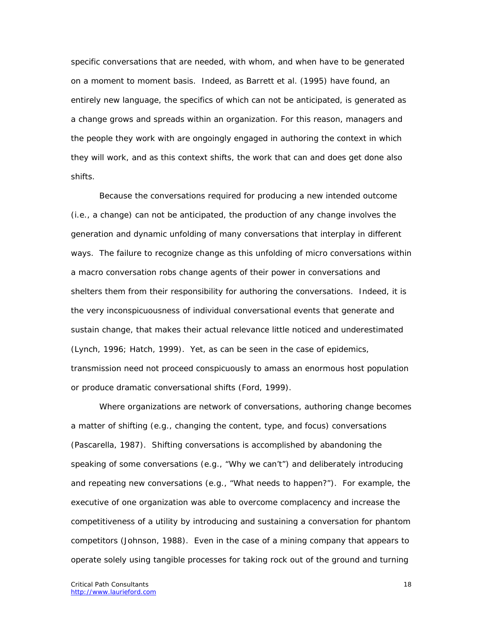specific conversations that are needed, with whom, and when have to be generated on a moment to moment basis. Indeed, as Barrett et al. (1995) have found, an entirely new language, the specifics of which can not be anticipated, is generated as a change grows and spreads within an organization. For this reason, managers and the people they work with are ongoingly engaged in authoring the context in which they will work, and as this context shifts, the work that can and does get done also shifts.

Because the conversations required for producing a new intended outcome (i.e., a change) can not be anticipated, the production of any change involves the generation and dynamic unfolding of many conversations that interplay in different ways. The failure to recognize change as this unfolding of micro conversations within a macro conversation robs change agents of their power in conversations and shelters them from their responsibility for authoring the conversations. Indeed, it is the very inconspicuousness of individual conversational events that generate and sustain change, that makes their actual relevance little noticed and underestimated (Lynch, 1996; Hatch, 1999). Yet, as can be seen in the case of epidemics, transmission need not proceed conspicuously to amass an enormous host population or produce dramatic conversational shifts (Ford, 1999).

Where organizations are network of conversations, authoring change becomes a matter of shifting (e.g., changing the content, type, and focus) conversations (Pascarella, 1987). Shifting conversations is accomplished by abandoning the speaking of some conversations (e.g., "Why we can't") and deliberately introducing and repeating new conversations (e.g., "What needs to happen?"). For example, the executive of one organization was able to overcome complacency and increase the competitiveness of a utility by introducing and sustaining a conversation for phantom competitors (Johnson, 1988). Even in the case of a mining company that appears to operate solely using tangible processes for taking rock out of the ground and turning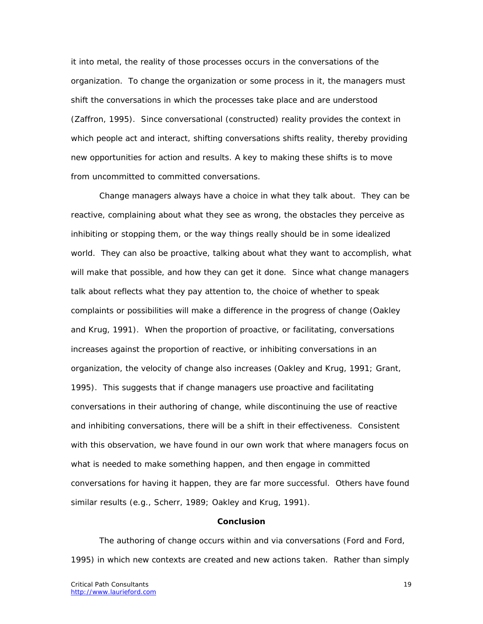it into metal, the reality of those processes occurs in the conversations of the organization. To change the organization or some process in it, the managers must shift the conversations in which the processes take place and are understood (Zaffron, 1995). Since conversational (constructed) reality provides the context in which people act and interact, shifting conversations shifts reality, thereby providing new opportunities for action and results. A key to making these shifts is to move from uncommitted to committed conversations.

 Change managers always have a choice in what they talk about. They can be reactive, complaining about what they see as wrong, the obstacles they perceive as inhibiting or stopping them, or the way things really should be in some idealized world. They can also be proactive, talking about what they want to accomplish, what will make that possible, and how they can get it done. Since what change managers talk about reflects what they pay attention to, the choice of whether to speak complaints or possibilities will make a difference in the progress of change (Oakley and Krug, 1991). When the proportion of proactive, or facilitating, conversations increases against the proportion of reactive, or inhibiting conversations in an organization, the velocity of change also increases (Oakley and Krug, 1991; Grant, 1995). This suggests that if change managers use proactive and facilitating conversations in their authoring of change, while discontinuing the use of reactive and inhibiting conversations, there will be a shift in their effectiveness. Consistent with this observation, we have found in our own work that where managers focus on what is needed to make something happen, and then engage in committed conversations for having it happen, they are far more successful. Others have found similar results (e.g., Scherr, 1989; Oakley and Krug, 1991).

# **Conclusion**

 The authoring of change occurs within and via conversations (Ford and Ford, 1995) in which new contexts are created and new actions taken. Rather than simply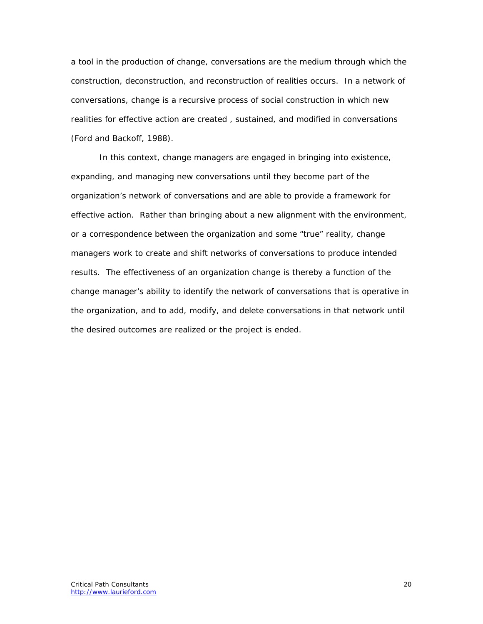a tool in the production of change, conversations are the medium through which the construction, deconstruction, and reconstruction of realities occurs. In a network of conversations, change is a recursive process of social construction in which new realities for effective action are created , sustained, and modified in conversations (Ford and Backoff, 1988).

 In this context, change managers are engaged in bringing into existence, expanding, and managing new conversations until they become part of the organization's network of conversations and are able to provide a framework for effective action. Rather than bringing about a new alignment with the environment, or a correspondence between the organization and some "true" reality, change managers work to create and shift networks of conversations to produce intended results. The effectiveness of an organization change is thereby a function of the change manager's ability to identify the network of conversations that is operative in the organization, and to add, modify, and delete conversations in that network until the desired outcomes are realized or the project is ended.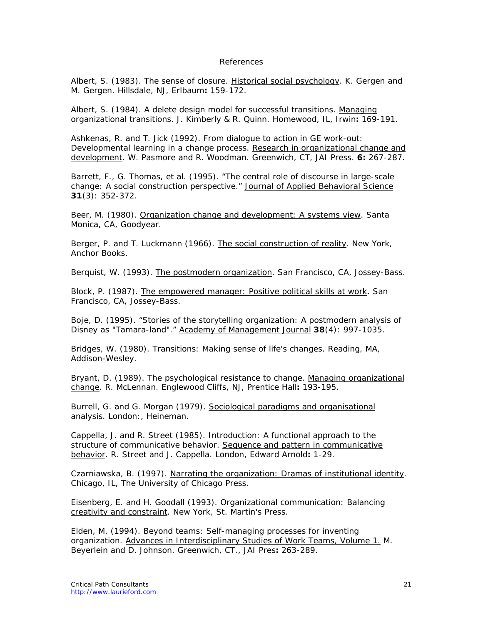# References

Albert, S. (1983). The sense of closure. Historical social psychology. K. Gergen and M. Gergen. Hillsdale, NJ, Erlbaum**:** 159-172.

Albert, S. (1984). A delete design model for successful transitions. Managing organizational transitions. J. Kimberly & R. Quinn. Homewood, IL, Irwin**:** 169-191.

Ashkenas, R. and T. Jick (1992). From dialogue to action in GE work-out: Developmental learning in a change process. Research in organizational change and development. W. Pasmore and R. Woodman. Greenwich, CT, JAI Press. **6:** 267-287.

Barrett, F., G. Thomas, et al. (1995). "The central role of discourse in large-scale change: A social construction perspective." Journal of Applied Behavioral Science **31**(3): 352-372.

Beer, M. (1980). Organization change and development: A systems view. Santa Monica, CA, Goodyear.

Berger, P. and T. Luckmann (1966). The social construction of reality. New York, Anchor Books.

Berquist, W. (1993). The postmodern organization. San Francisco, CA, Jossey-Bass.

Block, P. (1987). The empowered manager: Positive political skills at work. San Francisco, CA, Jossey-Bass.

Boje, D. (1995). "Stories of the storytelling organization: A postmodern analysis of Disney as "Tamara-land"." Academy of Management Journal **38**(4): 997-1035.

Bridges, W. (1980). Transitions: Making sense of life's changes. Reading, MA, Addison-Wesley.

Bryant, D. (1989). The psychological resistance to change. Managing organizational change. R. McLennan. Englewood Cliffs, NJ, Prentice Hall**:** 193-195.

Burrell, G. and G. Morgan (1979). Sociological paradigms and organisational analysis. London:, Heineman.

Cappella, J. and R. Street (1985). Introduction: A functional approach to the structure of communicative behavior. Sequence and pattern in communicative behavior. R. Street and J. Cappella. London, Edward Arnold**:** 1-29.

Czarniawska, B. (1997). Narrating the organization: Dramas of institutional identity. Chicago, IL, The University of Chicago Press.

Eisenberg, E. and H. Goodall (1993). Organizational communication: Balancing creativity and constraint. New York, St. Martin's Press.

Elden, M. (1994). Beyond teams: Self-managing processes for inventing organization. Advances in Interdisciplinary Studies of Work Teams, Volume 1. M. Beyerlein and D. Johnson. Greenwich, CT., JAI Pres**:** 263-289.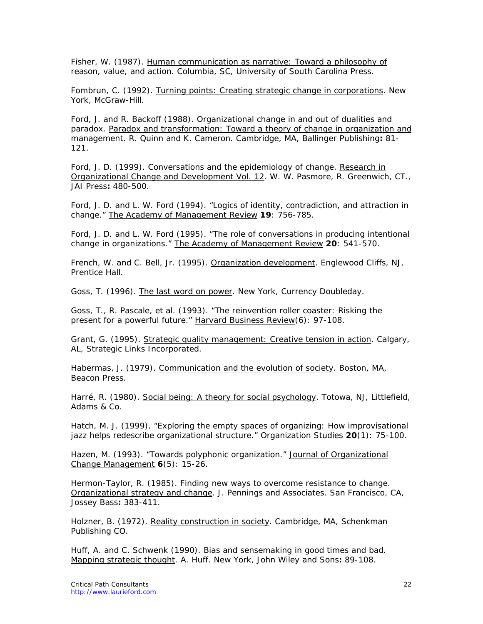Fisher, W. (1987). Human communication as narrative: Toward a philosophy of reason, value, and action. Columbia, SC, University of South Carolina Press.

Fombrun, C. (1992). Turning points: Creating strategic change in corporations. New York, McGraw-Hill.

Ford, J. and R. Backoff (1988). Organizational change in and out of dualities and paradox. Paradox and transformation: Toward a theory of change in organization and management. R. Quinn and K. Cameron. Cambridge, MA, Ballinger Publishing**:** 81- 121.

Ford, J. D. (1999). Conversations and the epidemiology of change. Research in Organizational Change and Development Vol. 12. W. W. Pasmore, R. Greenwich, CT., JAI Press**:** 480-500.

Ford, J. D. and L. W. Ford (1994). "Logics of identity, contradiction, and attraction in change." The Academy of Management Review **19**: 756-785.

Ford, J. D. and L. W. Ford (1995). "The role of conversations in producing intentional change in organizations." The Academy of Management Review **20**: 541-570.

French, W. and C. Bell, Jr. (1995). Organization development. Englewood Cliffs, NJ, Prentice Hall.

Goss, T. (1996). The last word on power. New York, Currency Doubleday.

Goss, T., R. Pascale, et al. (1993). "The reinvention roller coaster: Risking the present for a powerful future." Harvard Business Review(6): 97-108.

Grant, G. (1995). Strategic quality management: Creative tension in action. Calgary, AL, Strategic Links Incorporated.

Habermas, J. (1979). Communication and the evolution of society. Boston, MA, Beacon Press.

Harré, R. (1980). Social being: A theory for social psychology. Totowa, NJ, Littlefield, Adams & Co.

Hatch, M. J. (1999). "Exploring the empty spaces of organizing: How improvisational jazz helps redescribe organizational structure." Organization Studies **20**(1): 75-100.

Hazen, M. (1993). "Towards polyphonic organization." Journal of Organizational Change Management **6**(5): 15-26.

Hermon-Taylor, R. (1985). Finding new ways to overcome resistance to change. Organizational strategy and change. J. Pennings and Associates. San Francisco, CA, Jossey Bass**:** 383-411.

Holzner, B. (1972). Reality construction in society. Cambridge, MA, Schenkman Publishing CO.

Huff, A. and C. Schwenk (1990). Bias and sensemaking in good times and bad. Mapping strategic thought. A. Huff. New York, John Wiley and Sons**:** 89-108.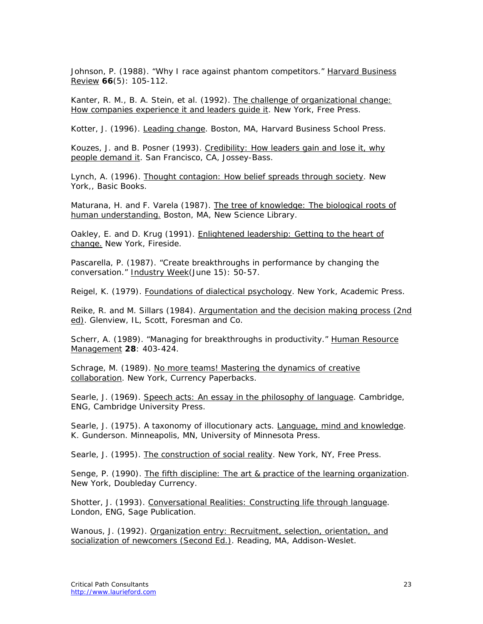Johnson, P. (1988). "Why I race against phantom competitors." Harvard Business Review **66**(5): 105-112.

Kanter, R. M., B. A. Stein, et al. (1992). The challenge of organizational change: How companies experience it and leaders guide it. New York, Free Press.

Kotter, J. (1996). Leading change. Boston, MA, Harvard Business School Press.

Kouzes, J. and B. Posner (1993). Credibility: How leaders gain and lose it, why people demand it. San Francisco, CA, Jossey-Bass.

Lynch, A. (1996). Thought contagion: How belief spreads through society. New York,, Basic Books.

Maturana, H. and F. Varela (1987). The tree of knowledge: The biological roots of human understanding. Boston, MA, New Science Library.

Oakley, E. and D. Krug (1991). Enlightened leadership: Getting to the heart of change. New York, Fireside.

Pascarella, P. (1987). "Create breakthroughs in performance by changing the conversation." Industry Week(June 15): 50-57.

Reigel, K. (1979). Foundations of dialectical psychology. New York, Academic Press.

Reike, R. and M. Sillars (1984). Argumentation and the decision making process (2nd ed). Glenview, IL, Scott, Foresman and Co.

Scherr, A. (1989). "Managing for breakthroughs in productivity." Human Resource Management **28**: 403-424.

Schrage, M. (1989). No more teams! Mastering the dynamics of creative collaboration. New York, Currency Paperbacks.

Searle, J. (1969). Speech acts: An essay in the philosophy of language. Cambridge, ENG, Cambridge University Press.

Searle, J. (1975). A taxonomy of illocutionary acts. Language, mind and knowledge. K. Gunderson. Minneapolis, MN, University of Minnesota Press.

Searle, J. (1995). The construction of social reality. New York, NY, Free Press.

Senge, P. (1990). The fifth discipline: The art & practice of the learning organization. New York, Doubleday Currency.

Shotter, J. (1993). Conversational Realities: Constructing life through language. London, ENG, Sage Publication.

Wanous, J. (1992). Organization entry: Recruitment, selection, orientation, and socialization of newcomers (Second Ed.). Reading, MA, Addison-Weslet.